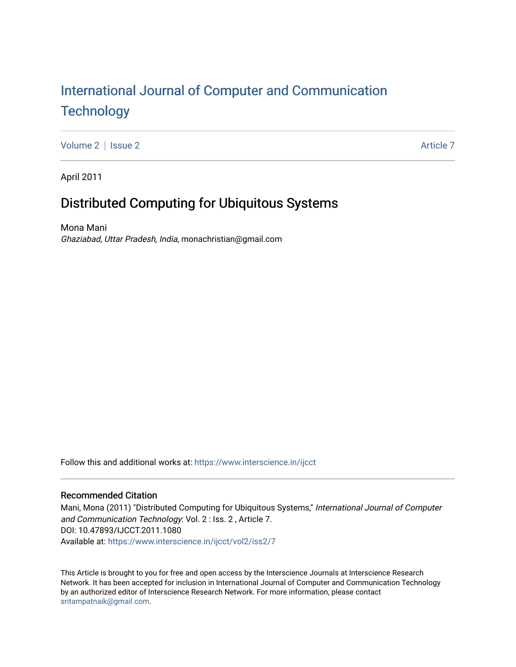# [International Journal of Computer and Communication](https://www.interscience.in/ijcct)  **Technology**

[Volume 2](https://www.interscience.in/ijcct/vol2) | [Issue 2](https://www.interscience.in/ijcct/vol2/iss2) Article 7

April 2011

# Distributed Computing for Ubiquitous Systems

Mona Mani Ghaziabad, Uttar Pradesh, India, monachristian@gmail.com

Follow this and additional works at: [https://www.interscience.in/ijcct](https://www.interscience.in/ijcct?utm_source=www.interscience.in%2Fijcct%2Fvol2%2Fiss2%2F7&utm_medium=PDF&utm_campaign=PDFCoverPages)

# Recommended Citation

Mani, Mona (2011) "Distributed Computing for Ubiquitous Systems," International Journal of Computer and Communication Technology: Vol. 2 : Iss. 2 , Article 7. DOI: 10.47893/IJCCT.2011.1080 Available at: [https://www.interscience.in/ijcct/vol2/iss2/7](https://www.interscience.in/ijcct/vol2/iss2/7?utm_source=www.interscience.in%2Fijcct%2Fvol2%2Fiss2%2F7&utm_medium=PDF&utm_campaign=PDFCoverPages)

This Article is brought to you for free and open access by the Interscience Journals at Interscience Research Network. It has been accepted for inclusion in International Journal of Computer and Communication Technology by an authorized editor of Interscience Research Network. For more information, please contact [sritampatnaik@gmail.com](mailto:sritampatnaik@gmail.com).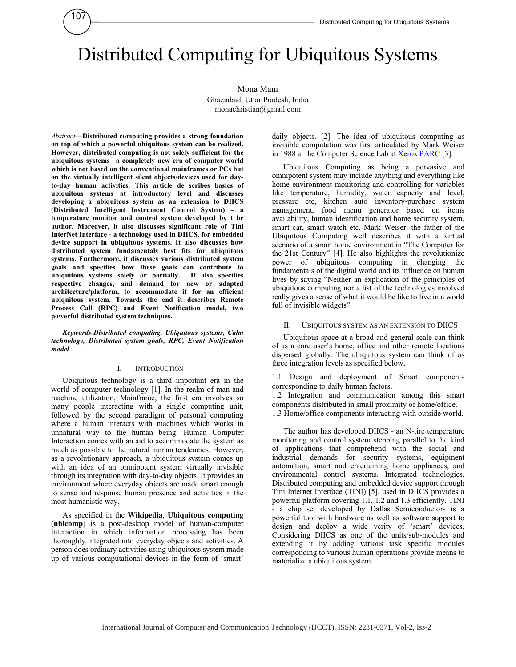# Distributed Computing for Ubiquitous Systems

Mona Mani Ghaziabad, Uttar Pradesh, India monachristian@gmail.com

*Abstract***—Distributed computing provides a strong foundation on top of which a powerful ubiquitous system can be realized. However, distributed computing is not solely sufficient for the ubiquitous systems –a completely new era of computer world which is not based on the conventional mainframes or PCs but on the virtually intelligent silent objects/devices used for dayto-day human activities. This article de scribes basics of ubiquitous systems at introductory level and discusses developing a ubiquitous system as an extension to DIICS (Distributed Intelligent Instrument Control System) – a temperature monitor and control system developed by t he author. Moreover, it also discusses significant role of Tini InterNet Interface - a technology used in DIICS, for embedded device support in ubiquitous systems. It also discusses how distributed system fundamentals best fits for ubiquitous systems. Furthermore, it discusses various distributed system goals and specifies how these goals can contribute to ubiquitous systems solely or partially. It also specifies respective changes, and demand for new or adapted architecture/platform, to accommodate it for an efficient ubiquitous system. Towards the end it describes Remote Process Call (RPC) and Event Notification model, two powerful distributed system techniques.** 

107

*Keywords-Distributed computing, Ubiquitous systems, Calm technology, Distributed system goals, RPC, Event Notification model* 

#### I. INTRODUCTION

Ubiquitous technology is a third important era in the world of computer technology [1]. In the realm of man and machine utilization, Mainframe, the first era involves so many people interacting with a single computing unit, followed by the second paradigm of personal computing where a human interacts with machines which works in unnatural way to the human being. Human Computer Interaction comes with an aid to accommodate the system as much as possible to the natural human tendencies. However, as a revolutionary approach, a ubiquitous system comes up with an idea of an omnipotent system virtually invisible through its integration with day-to-day objects. It provides an environment where everyday objects are made smart enough to sense and response human presence and activities in the most humanistic way.

As specified in the **Wikipedia**, **Ubiquitous computing** (**ubicomp**) is a post-desktop model of human-computer interaction in which information processing has been thoroughly integrated into everyday objects and activities. A person does ordinary activities using ubiquitous system made up of various computational devices in the form of 'smart'

daily objects. [2]. The idea of ubiquitous computing as invisible computation was first articulated by Mark Weiser in 1988 at the Computer Science Lab at Xerox PARC [3].

Ubiquitous Computing as being a pervasive and omnipotent system may include anything and everything like home environment monitoring and controlling for variables like temperature, humidity, water capacity and level, pressure etc, kitchen auto inventory-purchase system management, food menu generator based on items availability, human identification and home security system, smart car, smart watch etc. Mark Weiser, the father of the Ubiquitous Computing well describes it with a virtual scenario of a smart home environment in "The Computer for the 21st Century" [4]. He also highlights the revolutionize power of ubiquitous computing in changing the fundamentals of the digital world and its influence on human lives by saying "Neither an explication of the principles of ubiquitous computing nor a list of the technologies involved really gives a sense of what it would be like to live in a world full of invisible widgets".

#### II. UBIQUITOUS SYSTEM AS AN EXTENSION TO DIICS

Ubiquitous space at a broad and general scale can think of as a core user's home, office and other remote locations dispersed globally. The ubiquitous system can think of as three integration levels as specified below,

1.1 Design and deployment of Smart components corresponding to daily human factors.

1.2 Integration and communication among this smart components distributed in small proximity of home/office.

1.3 Home/office components interacting with outside world.

The author has developed DIICS - an N-tire temperature monitoring and control system stepping parallel to the kind of applications that comprehend with the social and industrial demands for security systems, equipment automation, smart and entertaining home appliances, and environmental control systems. Integrated technologies, Distributed computing and embedded device support through Tini Internet Interface (TINI) [5], used in DIICS provides a powerful platform covering 1.1, 1.2 and 1.3 efficiently. TINI - a chip set developed by Dallas Semiconductors is a powerful tool with hardware as well as software support to design and deploy a wide verity of 'smart' devices. Considering DIICS as one of the units/sub-modules and extending it by adding various task specific modules corresponding to various human operations provide means to materialize a ubiquitous system.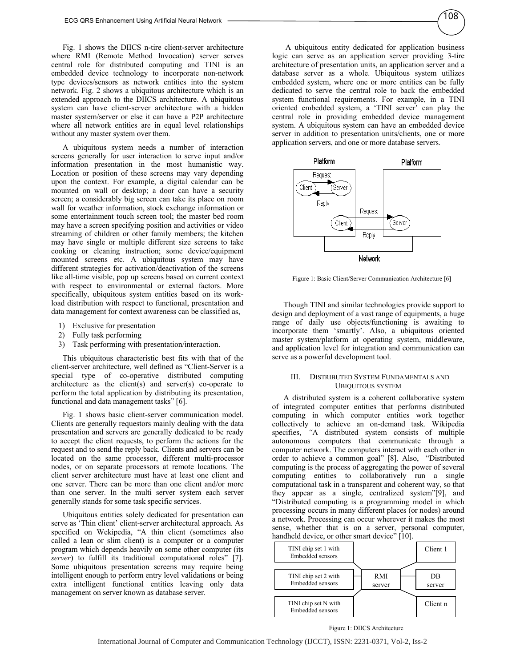Fig. 1 shows the DIICS n-tire client-server architecture where RMI (Remote Method Invocation) server serves central role for distributed computing and TINI is an embedded device technology to incorporate non-network type devices/sensors as network entities into the system network. Fig. 2 shows a ubiquitous architecture which is an extended approach to the DIICS architecture. A ubiquitous system can have client-server architecture with a hidden master system/server or else it can have a P2P architecture where all network entities are in equal level relationships without any master system over them.

A ubiquitous system needs a number of interaction screens generally for user interaction to serve input and/or information presentation in the most humanistic way. Location or position of these screens may vary depending upon the context. For example, a digital calendar can be mounted on wall or desktop; a door can have a security screen; a considerably big screen can take its place on room wall for weather information, stock exchange information or some entertainment touch screen tool; the master bed room may have a screen specifying position and activities or video streaming of children or other family members; the kitchen may have single or multiple different size screens to take cooking or cleaning instruction; some device/equipment mounted screens etc. A ubiquitous system may have different strategies for activation/deactivation of the screens like all-time visible, pop up screens based on current context with respect to environmental or external factors. More specifically, ubiquitous system entities based on its workload distribution with respect to functional, presentation and data management for context awareness can be classified as,

- 1) Exclusive for presentation
- 2) Fully task performing
- 3) Task performing with presentation/interaction.

This ubiquitous characteristic best fits with that of the client-server architecture, well defined as "Client-Server is a special type of co-operative distributed computing architecture as the client(s) and server(s) co-operate to perform the total application by distributing its presentation, functional and data management tasks" [6].

Fig. 1 shows basic client-server communication model. Clients are generally requestors mainly dealing with the data presentation and servers are generally dedicated to be ready to accept the client requests, to perform the actions for the request and to send the reply back. Clients and servers can be located on the same processor, different multi-processor nodes, or on separate processors at remote locations. The client server architecture must have at least one client and one server. There can be more than one client and/or more than one server. In the multi server system each server generally stands for some task specific services.

Ubiquitous entities solely dedicated for presentation can serve as 'Thin client' client-server architectural approach. As specified on Wekipedia, "A thin client (sometimes also called a lean or slim client) is a computer or a computer program which depends heavily on some other computer (its *server*) to fulfill its traditional computational roles" [7]. Some ubiquitous presentation screens may require being intelligent enough to perform entry level validations or being extra intelligent functional entities leaving only data management on server known as database server.

 A ubiquitous entity dedicated for application business logic can serve as an application server providing 3-tire architecture of presentation units, an application server and a database server as a whole. Ubiquitous system utilizes embedded system, where one or more entities can be fully dedicated to serve the central role to back the embedded system functional requirements. For example, in a TINI oriented embedded system, a 'TINI server' can play the central role in providing embedded device management system. A ubiquitous system can have an embedded device server in addition to presentation units/clients, one or more application servers, and one or more database servers.



Figure 1: Basic Client/Server Communication Architecture [6]

Though TINI and similar technologies provide support to design and deployment of a vast range of equipments, a huge range of daily use objects/functioning is awaiting to incorporate them 'smartly'. Also, a ubiquitous oriented master system/platform at operating system, middleware, and application level for integration and communication can serve as a powerful development tool.

#### III. DISTRIBUTED SYSTEM FUNDAMENTALS AND UBIQUITOUS SYSTEM

A distributed system is a coherent collaborative system of integrated computer entities that performs distributed computing in which computer entities work together collectively to achieve an on-demand task. Wikipedia specifies, *"*A distributed system consists of multiple autonomous computers that communicate through a computer network. The computers interact with each other in order to achieve a common goal" [8]. Also, "Distributed computing is the process of aggregating the power of several computing entities to collaboratively run a single computational task in a transparent and coherent way, so that they appear as a single, centralized system"[9], and "Distributed computing is a programming model in which processing occurs in many different places (or nodes) around a network. Processing can occur wherever it makes the most sense, whether that is on a server, personal computer, handheld device, or other smart device" [10].

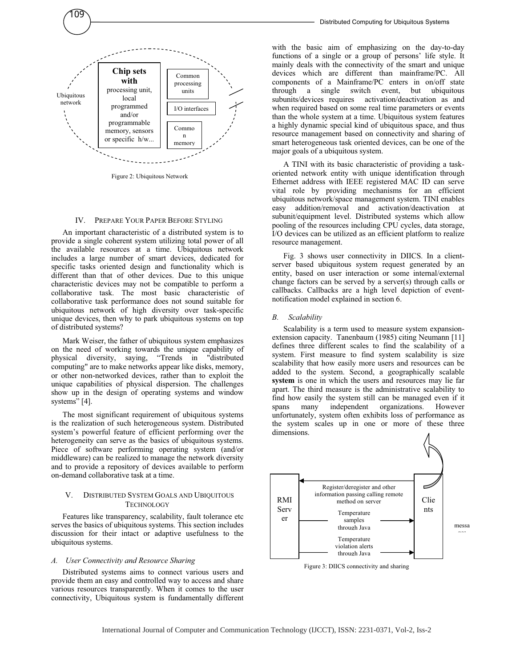

Figure 2: Ubiquitous Network

#### IV. PREPARE YOUR PAPER BEFORE STYLING

An important characteristic of a distributed system is to provide a single coherent system utilizing total power of all the available resources at a time. Ubiquitous network includes a large number of smart devices, dedicated for specific tasks oriented design and functionality which is different than that of other devices. Due to this unique characteristic devices may not be compatible to perform a collaborative task. The most basic characteristic of collaborative task performance does not sound suitable for ubiquitous network of high diversity over task-specific unique devices, then why to park ubiquitous systems on top of distributed systems?

Mark Weiser, the father of ubiquitous system emphasizes on the need of working towards the unique capability of physical diversity, saying, "Trends in "distributed" physical diversity, saying, "Trends in "distributed computing" are to make networks appear like disks, memory, or other non-networked devices, rather than to exploit the unique capabilities of physical dispersion. The challenges show up in the design of operating systems and window systems" [4].

The most significant requirement of ubiquitous systems is the realization of such heterogeneous system. Distributed system's powerful feature of efficient performing over the heterogeneity can serve as the basics of ubiquitous systems. Piece of software performing operating system (and/or middleware) can be realized to manage the network diversity and to provide a repository of devices available to perform on-demand collaborative task at a time.

### V. DISTRIBUTED SYSTEM GOALS AND UBIQUITOUS **TECHNOLOGY**

Features like transparency, scalability, fault tolerance etc serves the basics of ubiquitous systems. This section includes discussion for their intact or adaptive usefulness to the ubiquitous systems.

#### *A. User Connectivity and Resource Sharing*

Distributed systems aims to connect various users and provide them an easy and controlled way to access and share various resources transparently. When it comes to the user connectivity, Ubiquitous system is fundamentally different with the basic aim of emphasizing on the day-to-day functions of a single or a group of persons' life style. It mainly deals with the connectivity of the smart and unique devices which are different than mainframe/PC. All components of a Mainframe/PC enters in on/off state through a single switch event, but ubiquitous subunits/devices requires activation/deactivation as and when required based on some real time parameters or events than the whole system at a time. Ubiquitous system features a highly dynamic special kind of ubiquitous space, and thus resource management based on connectivity and sharing of smart heterogeneous task oriented devices, can be one of the major goals of a ubiquitous system.

A TINI with its basic characteristic of providing a taskoriented network entity with unique identification through Ethernet address with IEEE registered MAC ID can serve vital role by providing mechanisms for an efficient ubiquitous network/space management system. TINI enables easy addition/removal and activation/deactivation at subunit/equipment level. Distributed systems which allow pooling of the resources including CPU cycles, data storage, I/O devices can be utilized as an efficient platform to realize resource management.

Fig. 3 shows user connectivity in DIICS. In a clientserver based ubiquitous system request generated by an entity, based on user interaction or some internal/external change factors can be served by a server(s) through calls or callbacks. Callbacks are a high level depiction of eventnotification model explained in section 6.

#### *B. Scalability*

Scalability is a term used to measure system expansionextension capacity. Tanenbaum (1985) citing Neumann [11] defines three different scales to find the scalability of a system. First measure to find system scalability is size scalability that how easily more users and resources can be added to the system. Second, a geographically scalable **system** is one in which the users and resources may lie far apart. The third measure is the administrative scalability to find how easily the system still can be managed even if it spans many independent organizations. However unfortunately, system often exhibits loss of performance as the system scales up in one or more of these three dimensions.



Figure 3: DIICS connectivity and sharing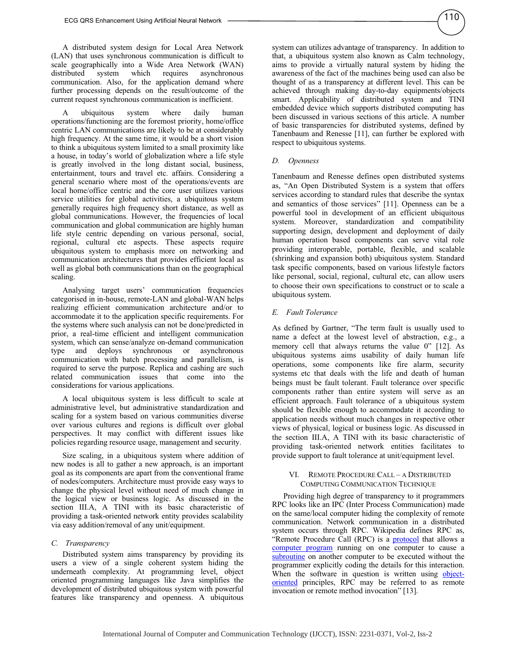A distributed system design for Local Area Network (LAN) that uses synchronous communication is difficult to scale geographically into a Wide Area Network (WAN) distributed system which requires asynchronous communication. Also, for the application demand where further processing depends on the result/outcome of the current request synchronous communication is inefficient.

A ubiquitous system where daily human operations/functioning are the foremost priority, home/office centric LAN communications are likely to be at considerably high frequency. At the same time, it would be a short vision to think a ubiquitous system limited to a small proximity like a house, in today's world of globalization where a life style is greatly involved in the long distant social, business, entertainment, tours and travel etc. affairs. Considering a general scenario where most of the operations/events are local home/office centric and the core user utilizes various service utilities for global activities, a ubiquitous system generally requires high frequency short distance, as well as global communications. However, the frequencies of local communication and global communication are highly human life style centric depending on various personal, social, regional, cultural etc aspects. These aspects require ubiquitous system to emphasis more on networking and communication architectures that provides efficient local as well as global both communications than on the geographical scaling.

Analysing target users' communication frequencies categorised in in-house, remote-LAN and global-WAN helps realizing efficient communication architecture and/or to accommodate it to the application specific requirements. For the systems where such analysis can not be done/predicted in prior, a real-time efficient and intelligent communication system, which can sense/analyze on-demand communication type and deploys synchronous or asynchronous communication with batch processing and parallelism, is required to serve the purpose. Replica and cashing are such related communication issues that come into the considerations for various applications.

A local ubiquitous system is less difficult to scale at administrative level, but administrative standardization and scaling for a system based on various communities diverse over various cultures and regions is difficult over global perspectives. It may conflict with different issues like policies regarding resource usage, management and security.

Size scaling, in a ubiquitous system where addition of new nodes is all to gather a new approach, is an important goal as its components are apart from the conventional frame of nodes/computers. Architecture must provide easy ways to change the physical level without need of much change in the logical view or business logic. As discussed in the section III.A, A TINI with its basic characteristic of providing a task-oriented network entity provides scalability via easy addition/removal of any unit/equipment.

### *C. Transparency*

Distributed system aims transparency by providing its users a view of a single coherent system hiding the underneath complexity. At programming level, object oriented programming languages like Java simplifies the development of distributed ubiquitous system with powerful features like transparency and openness. A ubiquitous system can utilizes advantage of transparency. In addition to that, a ubiquitous system also known as Calm technology, aims to provide a virtually natural system by hiding the awareness of the fact of the machines being used can also be thought of as a transparency at different level. This can be achieved through making day-to-day equipments/objects smart. Applicability of distributed system and TINI embedded device which supports distributed computing has been discussed in various sections of this article. A number of basic transparencies for distributed systems, defined by Tanenbaum and Renesse [11], can further be explored with respect to ubiquitous systems.

#### *D. Openness*

Tanenbaum and Renesse defines open distributed systems as, "An Open Distributed System is a system that offers services according to standard rules that describe the syntax and semantics of those services" [11]. Openness can be a powerful tool in development of an efficient ubiquitous system. Moreover, standardization and compatibility supporting design, development and deployment of daily human operation based components can serve vital role providing interoperable, portable, flexible, and scalable (shrinking and expansion both) ubiquitous system. Standard task specific components, based on various lifestyle factors like personal, social, regional, cultural etc, can allow users to choose their own specifications to construct or to scale a ubiquitous system.

#### *E. Fault Tolerance*

As defined by Gartner, "The term fault is usually used to name a defect at the lowest level of abstraction, e.g., a memory cell that always returns the value 0" [12]. As ubiquitous systems aims usability of daily human life operations, some components like fire alarm, security systems etc that deals with the life and death of human beings must be fault tolerant. Fault tolerance over specific components rather than entire system will serve as an efficient approach. Fault tolerance of a ubiquitous system should be flexible enough to accommodate it according to application needs without much changes in respective other views of physical, logical or business logic. As discussed in the section III.A, A TINI with its basic characteristic of providing task-oriented network entities facilitates to provide support to fault tolerance at unit/equipment level.

#### VI. REMOTE PROCEDURE CALL – A DISTRIBUTED COMPUTING COMMUNICATION TECHNIQUE

Providing high degree of transparency to it programmers RPC looks like an IPC (Inter Process Communication) made on the same/local computer hiding the complexity of remote communication. Network communication in a distributed system occurs through RPC. Wikipedia defines RPC as, "Remote Procedure Call (RPC) is a **protocol** that allows a computer program running on one computer to cause a subroutine on another computer to be executed without the programmer explicitly coding the details for this interaction. When the software in question is written using objectoriented principles, RPC may be referred to as remote invocation or remote method invocation" [13].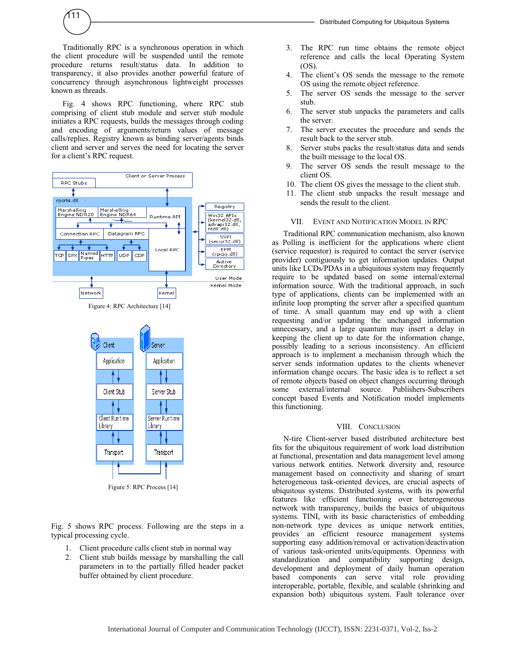

Traditionally RPC is a synchronous operation in which the client procedure will be suspended until the remote procedure returns result/status data. In addition to transparency, it also provides another powerful feature of concurrency through asynchronous lightweight processes known as threads.

Fig. 4 shows RPC functioning, where RPC stub comprising of client stub module and server stub module initiates a RPC requests, builds the messages through coding and encoding of arguments/return values of message calls/replies. Registry known as binding server/agents binds client and server and serves the need for locating the server for a client's RPC request.





Figure 5: RPC Process [14]

Fig. 5 shows RPC process. Following are the steps in a typical processing cycle.

- 1. Client procedure calls client stub in normal way
- 2. Client stub builds message by marshalling the call parameters in to the partially filled header packet buffer obtained by client procedure.

4. The client's OS sends the message to the remote OS using the remote object reference.

(OS).

- 5. The server OS sends the message to the server stub.
- 6. The server stub unpacks the parameters and calls the server.
- 7. The server executes the procedure and sends the result back to the server stub.
- 8. Server stubs packs the result/status data and sends the built message to the local OS.
- 9. The server OS sends the result message to the client OS.
- 10. The client OS gives the message to the client stub.
- 11. The client stub unpacks the result message and sends the result to the client.

## VII. EVENT AND NOTIFICATION MODEL IN RPC

Traditional RPC communication mechanism, also known as Polling is inefficient for the applications where client (service requestor) is required to contact the server (service provider) contiguously to get information updates. Output units like LCDs/PDAs in a ubiquitous system may frequently require to be updated based on some internal/external information source. With the traditional approach, in such type of applications, clients can be implemented with an infinite loop prompting the server after a specified quantum of time. A small quantum may end up with a client requesting and/or updating the unchanged information unnecessary, and a large quantum may insert a delay in keeping the client up to date for the information change, possibly leading to a serious inconsistency. An efficient approach is to implement a mechanism through which the server sends information updates to the clients whenever information change occurs. The basic idea is to reflect a set of remote objects based on object changes occurring through some external/internal source. Publishers-Subscribers concept based Events and Notification model implements this functioning.

# VIII. CONCLUSION

N-tire Client-server based distributed architecture best fits for the ubiquitous requirement of work load distribution at functional, presentation and data management level among various network entities. Network diversity and, resource management based on connectivity and sharing of smart heterogeneous task-oriented devices, are crucial aspects of ubiquitous systems. Distributed systems, with its powerful features like efficient functioning over heterogeneous network with transparency, builds the basics of ubiquitous systems. TINI, with its basic characteristics of embedding non-network type devices as unique network entities, provides an efficient resource management systems supporting easy addition/removal or activation/deactivation of various task-oriented units/equipments. Openness with standardization and compatibility supporting design, development and deployment of daily human operation based components can serve vital role providing interoperable, portable, flexible, and scalable (shrinking and expansion both) ubiquitous system. Fault tolerance over